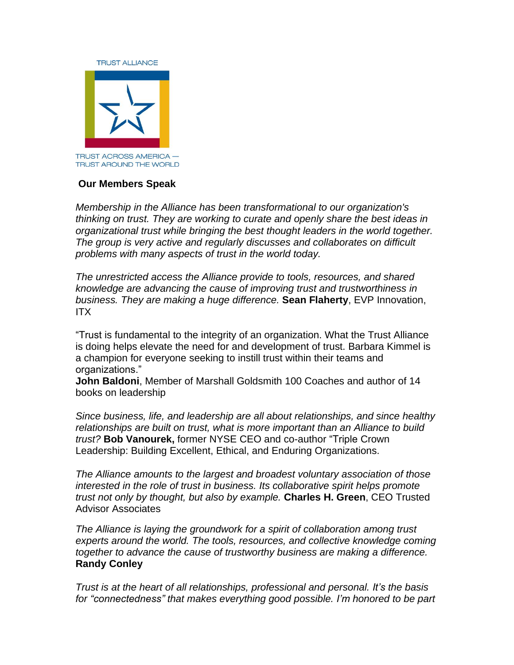

## **Our Members Speak**

*Membership in the Alliance has been transformational to our organization's thinking on trust. They are working to curate and openly share the best ideas in organizational trust while bringing the best thought leaders in the world together. The group is very active and regularly discusses and collaborates on difficult problems with many aspects of trust in the world today.*

*The unrestricted access the Alliance provide to tools, resources, and shared knowledge are advancing the cause of improving trust and trustworthiness in business. They are making a huge difference.* **Sean Flaherty**, EVP Innovation, ITX

"Trust is fundamental to the integrity of an organization. What the Trust Alliance is doing helps elevate the need for and development of trust. Barbara Kimmel is a champion for everyone seeking to instill trust within their teams and organizations."

**John Baldoni**, Member of Marshall Goldsmith 100 Coaches and author of 14 books on leadership

*Since business, life, and leadership are all about relationships, and since healthy relationships are built on trust, what is more important than an Alliance to build trust?* **Bob Vanourek,** former NYSE CEO and co-author "Triple Crown Leadership: Building Excellent, Ethical, and Enduring Organizations.

*The Alliance amounts to the largest and broadest voluntary association of those interested in the role of trust in business. Its collaborative spirit helps promote trust not only by thought, but also by example.* **Charles H. Green**, CEO Trusted Advisor Associates

*The Alliance is laying the groundwork for a spirit of collaboration among trust experts around the world. The tools, resources, and collective knowledge coming together to advance the cause of trustworthy business are making a difference.* **Randy Conley**

*Trust is at the heart of all relationships, professional and personal. It's the basis for "connectedness" that makes everything good possible. I'm honored to be part*